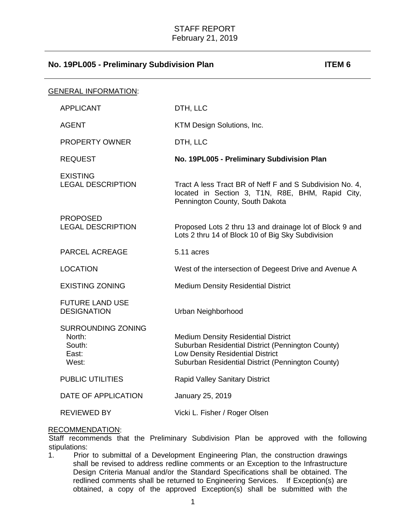| <b>GENERAL INFORMATION:</b> |                                                                 |                                                                                                                                                                                          |
|-----------------------------|-----------------------------------------------------------------|------------------------------------------------------------------------------------------------------------------------------------------------------------------------------------------|
|                             | <b>APPLICANT</b>                                                | DTH, LLC                                                                                                                                                                                 |
|                             | <b>AGENT</b>                                                    | KTM Design Solutions, Inc.                                                                                                                                                               |
|                             | <b>PROPERTY OWNER</b>                                           | DTH, LLC                                                                                                                                                                                 |
|                             | <b>REQUEST</b>                                                  | No. 19PL005 - Preliminary Subdivision Plan                                                                                                                                               |
|                             | <b>EXISTING</b><br><b>LEGAL DESCRIPTION</b>                     | Tract A less Tract BR of Neff F and S Subdivision No. 4,<br>located in Section 3, T1N, R8E, BHM, Rapid City,<br>Pennington County, South Dakota                                          |
|                             | <b>PROPOSED</b><br><b>LEGAL DESCRIPTION</b>                     | Proposed Lots 2 thru 13 and drainage lot of Block 9 and<br>Lots 2 thru 14 of Block 10 of Big Sky Subdivision                                                                             |
|                             | PARCEL ACREAGE                                                  | 5.11 acres                                                                                                                                                                               |
|                             | <b>LOCATION</b>                                                 | West of the intersection of Degeest Drive and Avenue A                                                                                                                                   |
|                             | <b>EXISTING ZONING</b>                                          | <b>Medium Density Residential District</b>                                                                                                                                               |
|                             | <b>FUTURE LAND USE</b><br><b>DESIGNATION</b>                    | Urban Neighborhood                                                                                                                                                                       |
|                             | <b>SURROUNDING ZONING</b><br>North:<br>South:<br>East:<br>West: | <b>Medium Density Residential District</b><br>Suburban Residential District (Pennington County)<br>Low Density Residential District<br>Suburban Residential District (Pennington County) |
|                             | <b>PUBLIC UTILITIES</b>                                         | Rapid Valley Sanitary District                                                                                                                                                           |
|                             | DATE OF APPLICATION                                             | January 25, 2019                                                                                                                                                                         |
|                             | <b>REVIEWED BY</b>                                              | Vicki L. Fisher / Roger Olsen                                                                                                                                                            |

### RECOMMENDATION:

Staff recommends that the Preliminary Subdivision Plan be approved with the following stipulations:<br>1. Prior

Prior to submittal of a Development Engineering Plan, the construction drawings shall be revised to address redline comments or an Exception to the Infrastructure Design Criteria Manual and/or the Standard Specifications shall be obtained. The redlined comments shall be returned to Engineering Services. If Exception(s) are obtained, a copy of the approved Exception(s) shall be submitted with the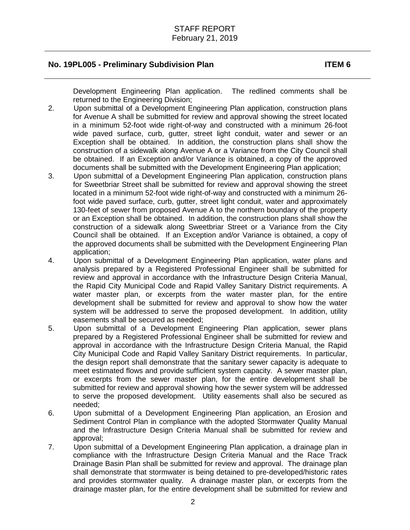Development Engineering Plan application. The redlined comments shall be returned to the Engineering Division;

- 2. Upon submittal of a Development Engineering Plan application, construction plans for Avenue A shall be submitted for review and approval showing the street located in a minimum 52-foot wide right-of-way and constructed with a minimum 26-foot wide paved surface, curb, gutter, street light conduit, water and sewer or an Exception shall be obtained. In addition, the construction plans shall show the construction of a sidewalk along Avenue A or a Variance from the City Council shall be obtained. If an Exception and/or Variance is obtained, a copy of the approved documents shall be submitted with the Development Engineering Plan application;
- 3. Upon submittal of a Development Engineering Plan application, construction plans for Sweetbriar Street shall be submitted for review and approval showing the street located in a minimum 52-foot wide right-of-way and constructed with a minimum 26 foot wide paved surface, curb, gutter, street light conduit, water and approximately 130-feet of sewer from proposed Avenue A to the northern boundary of the property or an Exception shall be obtained. In addition, the construction plans shall show the construction of a sidewalk along Sweetbriar Street or a Variance from the City Council shall be obtained. If an Exception and/or Variance is obtained, a copy of the approved documents shall be submitted with the Development Engineering Plan application;
- 4. Upon submittal of a Development Engineering Plan application, water plans and analysis prepared by a Registered Professional Engineer shall be submitted for review and approval in accordance with the Infrastructure Design Criteria Manual, the Rapid City Municipal Code and Rapid Valley Sanitary District requirements. A water master plan, or excerpts from the water master plan, for the entire development shall be submitted for review and approval to show how the water system will be addressed to serve the proposed development. In addition, utility easements shall be secured as needed;
- 5. Upon submittal of a Development Engineering Plan application, sewer plans prepared by a Registered Professional Engineer shall be submitted for review and approval in accordance with the Infrastructure Design Criteria Manual, the Rapid City Municipal Code and Rapid Valley Sanitary District requirements. In particular, the design report shall demonstrate that the sanitary sewer capacity is adequate to meet estimated flows and provide sufficient system capacity. A sewer master plan, or excerpts from the sewer master plan, for the entire development shall be submitted for review and approval showing how the sewer system will be addressed to serve the proposed development. Utility easements shall also be secured as needed;
- 6. Upon submittal of a Development Engineering Plan application, an Erosion and Sediment Control Plan in compliance with the adopted Stormwater Quality Manual and the Infrastructure Design Criteria Manual shall be submitted for review and approval;
- 7. Upon submittal of a Development Engineering Plan application, a drainage plan in compliance with the Infrastructure Design Criteria Manual and the Race Track Drainage Basin Plan shall be submitted for review and approval. The drainage plan shall demonstrate that stormwater is being detained to pre-developed/historic rates and provides stormwater quality. A drainage master plan, or excerpts from the drainage master plan, for the entire development shall be submitted for review and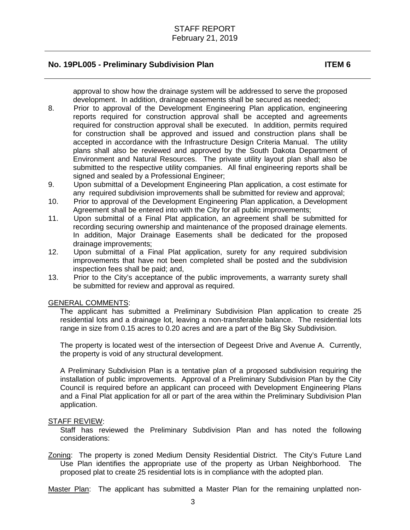approval to show how the drainage system will be addressed to serve the proposed development. In addition, drainage easements shall be secured as needed;

- 8. Prior to approval of the Development Engineering Plan application, engineering reports required for construction approval shall be accepted and agreements required for construction approval shall be executed. In addition, permits required for construction shall be approved and issued and construction plans shall be accepted in accordance with the Infrastructure Design Criteria Manual. The utility plans shall also be reviewed and approved by the South Dakota Department of Environment and Natural Resources. The private utility layout plan shall also be submitted to the respective utility companies. All final engineering reports shall be signed and sealed by a Professional Engineer;
- 9. Upon submittal of a Development Engineering Plan application, a cost estimate for any required subdivision improvements shall be submitted for review and approval;
- 10. Prior to approval of the Development Engineering Plan application, a Development Agreement shall be entered into with the City for all public improvements;
- 11. Upon submittal of a Final Plat application, an agreement shall be submitted for recording securing ownership and maintenance of the proposed drainage elements. In addition, Major Drainage Easements shall be dedicated for the proposed drainage improvements;
- 12. Upon submittal of a Final Plat application, surety for any required subdivision improvements that have not been completed shall be posted and the subdivision inspection fees shall be paid; and,
- 13. Prior to the City's acceptance of the public improvements, a warranty surety shall be submitted for review and approval as required.

### GENERAL COMMENTS:

The applicant has submitted a Preliminary Subdivision Plan application to create 25 residential lots and a drainage lot, leaving a non-transferable balance. The residential lots range in size from 0.15 acres to 0.20 acres and are a part of the Big Sky Subdivision.

The property is located west of the intersection of Degeest Drive and Avenue A. Currently, the property is void of any structural development.

A Preliminary Subdivision Plan is a tentative plan of a proposed subdivision requiring the installation of public improvements. Approval of a Preliminary Subdivision Plan by the City Council is required before an applicant can proceed with Development Engineering Plans and a Final Plat application for all or part of the area within the Preliminary Subdivision Plan application.

### STAFF REVIEW:

Staff has reviewed the Preliminary Subdivision Plan and has noted the following considerations:

Zoning: The property is zoned Medium Density Residential District. The City's Future Land Use Plan identifies the appropriate use of the property as Urban Neighborhood. The proposed plat to create 25 residential lots is in compliance with the adopted plan.

Master Plan: The applicant has submitted a Master Plan for the remaining unplatted non-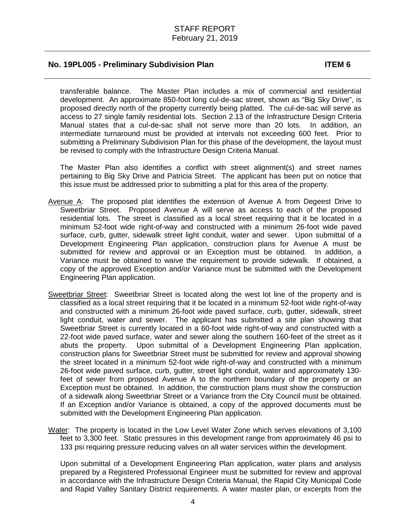transferable balance. The Master Plan includes a mix of commercial and residential development. An approximate 850-foot long cul-de-sac street, shown as "Big Sky Drive", is proposed directly north of the property currently being platted. The cul-de-sac will serve as access to 27 single family residential lots. Section 2.13 of the Infrastructure Design Criteria Manual states that a cul-de-sac shall not serve more than 20 lots. In addition, an intermediate turnaround must be provided at intervals not exceeding 600 feet. Prior to submitting a Preliminary Subdivision Plan for this phase of the development, the layout must be revised to comply with the Infrastructure Design Criteria Manual.

The Master Plan also identifies a conflict with street alignment(s) and street names pertaining to Big Sky Drive and Patricia Street. The applicant has been put on notice that this issue must be addressed prior to submitting a plat for this area of the property.

- Avenue A: The proposed plat identifies the extension of Avenue A from Degeest Drive to Sweetbriar Street. Proposed Avenue A will serve as access to each of the proposed residential lots. The street is classified as a local street requiring that it be located in a minimum 52-foot wide right-of-way and constructed with a minimum 26-foot wide paved surface, curb, gutter, sidewalk street light conduit, water and sewer. Upon submittal of a Development Engineering Plan application, construction plans for Avenue A must be submitted for review and approval or an Exception must be obtained. In addition, a Variance must be obtained to waive the requirement to provide sidewalk. If obtained, a copy of the approved Exception and/or Variance must be submitted with the Development Engineering Plan application.
- Sweetbriar Street: Sweetbriar Street is located along the west lot line of the property and is classified as a local street requiring that it be located in a minimum 52-foot wide right-of-way and constructed with a minimum 26-foot wide paved surface, curb, gutter, sidewalk, street light conduit, water and sewer. The applicant has submitted a site plan showing that Sweetbriar Street is currently located in a 60-foot wide right-of-way and constructed with a 22-foot wide paved surface, water and sewer along the southern 160-feet of the street as it abuts the property. Upon submittal of a Development Engineering Plan application, construction plans for Sweetbriar Street must be submitted for review and approval showing the street located in a minimum 52-foot wide right-of-way and constructed with a minimum 26-foot wide paved surface, curb, gutter, street light conduit, water and approximately 130 feet of sewer from proposed Avenue A to the northern boundary of the property or an Exception must be obtained. In addition, the construction plans must show the construction of a sidewalk along Sweetbriar Street or a Variance from the City Council must be obtained. If an Exception and/or Variance is obtained, a copy of the approved documents must be submitted with the Development Engineering Plan application.
- Water: The property is located in the Low Level Water Zone which serves elevations of 3,100 feet to 3,300 feet. Static pressures in this development range from approximately 46 psi to 133 psi requiring pressure reducing valves on all water services within the development.

Upon submittal of a Development Engineering Plan application, water plans and analysis prepared by a Registered Professional Engineer must be submitted for review and approval in accordance with the Infrastructure Design Criteria Manual, the Rapid City Municipal Code and Rapid Valley Sanitary District requirements. A water master plan, or excerpts from the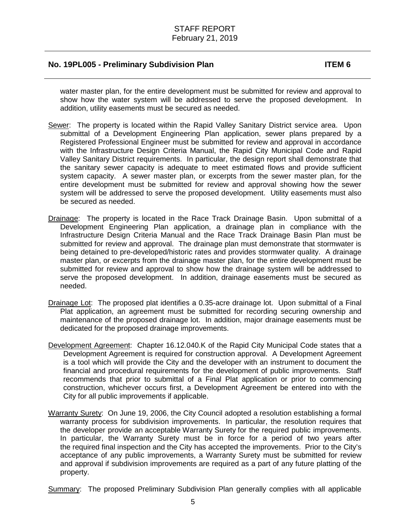water master plan, for the entire development must be submitted for review and approval to show how the water system will be addressed to serve the proposed development. In addition, utility easements must be secured as needed.

- Sewer: The property is located within the Rapid Valley Sanitary District service area. Upon submittal of a Development Engineering Plan application, sewer plans prepared by a Registered Professional Engineer must be submitted for review and approval in accordance with the Infrastructure Design Criteria Manual, the Rapid City Municipal Code and Rapid Valley Sanitary District requirements. In particular, the design report shall demonstrate that the sanitary sewer capacity is adequate to meet estimated flows and provide sufficient system capacity. A sewer master plan, or excerpts from the sewer master plan, for the entire development must be submitted for review and approval showing how the sewer system will be addressed to serve the proposed development. Utility easements must also be secured as needed.
- Drainage: The property is located in the Race Track Drainage Basin. Upon submittal of a Development Engineering Plan application, a drainage plan in compliance with the Infrastructure Design Criteria Manual and the Race Track Drainage Basin Plan must be submitted for review and approval. The drainage plan must demonstrate that stormwater is being detained to pre-developed/historic rates and provides stormwater quality. A drainage master plan, or excerpts from the drainage master plan, for the entire development must be submitted for review and approval to show how the drainage system will be addressed to serve the proposed development. In addition, drainage easements must be secured as needed.
- Drainage Lot: The proposed plat identifies a 0.35-acre drainage lot. Upon submittal of a Final Plat application, an agreement must be submitted for recording securing ownership and maintenance of the proposed drainage lot. In addition, major drainage easements must be dedicated for the proposed drainage improvements.
- Development Agreement: Chapter 16.12.040.K of the Rapid City Municipal Code states that a Development Agreement is required for construction approval. A Development Agreement is a tool which will provide the City and the developer with an instrument to document the financial and procedural requirements for the development of public improvements. Staff recommends that prior to submittal of a Final Plat application or prior to commencing construction, whichever occurs first, a Development Agreement be entered into with the City for all public improvements if applicable.
- Warranty Surety: On June 19, 2006, the City Council adopted a resolution establishing a formal warranty process for subdivision improvements. In particular, the resolution requires that the developer provide an acceptable Warranty Surety for the required public improvements. In particular, the Warranty Surety must be in force for a period of two years after the required final inspection and the City has accepted the improvements. Prior to the City's acceptance of any public improvements, a Warranty Surety must be submitted for review and approval if subdivision improvements are required as a part of any future platting of the property.

Summary: The proposed Preliminary Subdivision Plan generally complies with all applicable